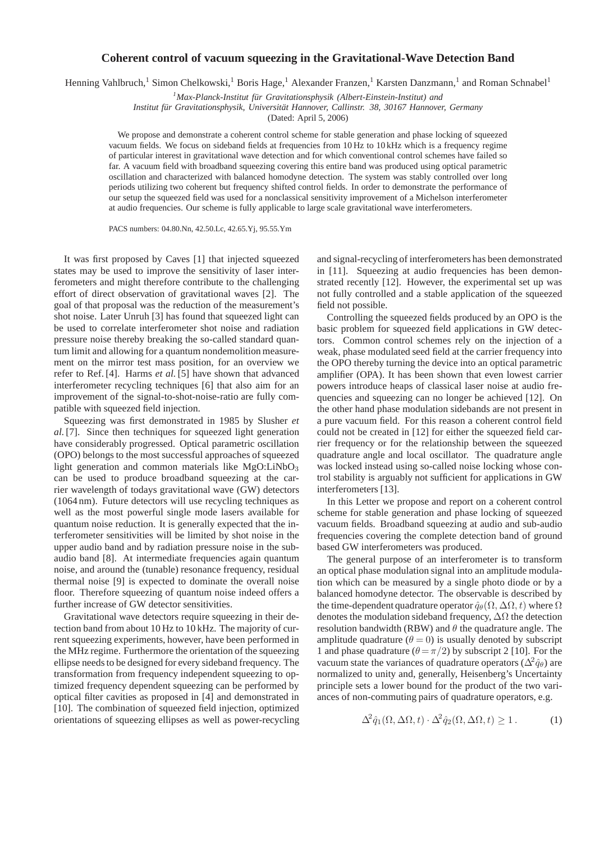## **Coherent control of vacuum squeezing in the Gravitational-Wave Detection Band**

Henning Vahlbruch,<sup>1</sup> Simon Chelkowski,<sup>1</sup> Boris Hage,<sup>1</sup> Alexander Franzen,<sup>1</sup> Karsten Danzmann,<sup>1</sup> and Roman Schnabel<sup>1</sup>

<sup>1</sup>*Max-Planck-Institut für Gravitationsphysik (Albert-Einstein-Institut) and* 

Institut für Gravitationsphysik, Universität Hannover, Callinstr. 38, 30167 Hannover, Germany

(Dated: April 5, 2006)

We propose and demonstrate a coherent control scheme for stable generation and phase locking of squeezed vacuum fields. We focus on sideband fields at frequencies from 10 Hz to 10 kHz which is a frequency regime of particular interest in gravitational wave detection and for which conventional control schemes have failed so far. A vacuum field with broadband squeezing covering this entire band was produced using optical parametric oscillation and characterized with balanced homodyne detection. The system was stably controlled over long periods utilizing two coherent but frequency shifted control fields. In order to demonstrate the performance of our setup the squeezed field was used for a nonclassical sensitivity improvement of a Michelson interferometer at audio frequencies. Our scheme is fully applicable to large scale gravitational wave interferometers.

PACS numbers: 04.80.Nn, 42.50.Lc, 42.65.Yj, 95.55.Ym

It was first proposed by Caves [1] that injected squeezed states may be used to improve the sensitivity of laser interferometers and might therefore contribute to the challenging effort of direct observation of gravitational waves [2]. The goal of that proposal was the reduction of the measurement's shot noise. Later Unruh [3] has found that squeezed light can be used to correlate interferometer shot noise and radiation pressure noise thereby breaking the so-called standard quantum limit and allowing for a quantum nondemolition measurement on the mirror test mass position, for an overview we refer to Ref. [4]. Harms *et al.* [5] have shown that advanced interferometer recycling techniques [6] that also aim for an improvement of the signal-to-shot-noise-ratio are fully compatible with squeezed field injection.

Squeezing was first demonstrated in 1985 by Slusher *et al.*[7]. Since then techniques for squeezed light generation have considerably progressed. Optical parametric oscillation (OPO) belongs to the most successful approaches of squeezed light generation and common materials like MgO:LiNbO<sub>3</sub> can be used to produce broadband squeezing at the carrier wavelength of todays gravitational wave (GW) detectors (1064 nm). Future detectors will use recycling techniques as well as the most powerful single mode lasers available for quantum noise reduction. It is generally expected that the interferometer sensitivities will be limited by shot noise in the upper audio band and by radiation pressure noise in the subaudio band [8]. At intermediate frequencies again quantum noise, and around the (tunable) resonance frequency, residual thermal noise [9] is expected to dominate the overall noise floor. Therefore squeezing of quantum noise indeed offers a further increase of GW detector sensitivities.

Gravitational wave detectors require squeezing in their detection band from about 10 Hz to 10 kHz. The majority of current squeezing experiments, however, have been performed in the MHz regime. Furthermore the orientation of the squeezing ellipse needs to be designed for every sideband frequency. The transformation from frequency independent squeezing to optimized frequency dependent squeezing can be performed by optical filter cavities as proposed in [4] and demonstrated in [10]. The combination of squeezed field injection, optimized orientations of squeezing ellipses as well as power-recycling

and signal-recycling of interferometers has been demonstrated in [11]. Squeezing at audio frequencies has been demonstrated recently [12]. However, the experimental set up was not fully controlled and a stable application of the squeezed field not possible.

Controlling the squeezed fields produced by an OPO is the basic problem for squeezed field applications in GW detectors. Common control schemes rely on the injection of a weak, phase modulated seed field at the carrier frequency into the OPO thereby turning the device into an optical parametric amplifier (OPA). It has been shown that even lowest carrier powers introduce heaps of classical laser noise at audio frequencies and squeezing can no longer be achieved [12]. On the other hand phase modulation sidebands are not present in a pure vacuum field. For this reason a coherent control field could not be created in [12] for either the squeezed field carrier frequency or for the relationship between the squeezed quadrature angle and local oscillator. The quadrature angle was locked instead using so-called noise locking whose control stability is arguably not sufficient for applications in GW interferometers [13].

In this Letter we propose and report on a coherent control scheme for stable generation and phase locking of squeezed vacuum fields. Broadband squeezing at audio and sub-audio frequencies covering the complete detection band of ground based GW interferometers was produced.

The general purpose of an interferometer is to transform an optical phase modulation signal into an amplitude modulation which can be measured by a single photo diode or by a balanced homodyne detector. The observable is described by the time-dependent quadrature operator  $\hat{q}_{\theta}(\Omega, \Delta\Omega, t)$  where  $\Omega$ denotes the modulation sideband frequency,  $\Delta\Omega$  the detection resolution bandwidth (RBW) and  $\theta$  the quadrature angle. The amplitude quadrature ( $\theta = 0$ ) is usually denoted by subscript 1 and phase quadrature ( $\theta = \pi/2$ ) by subscript 2 [10]. For the vacuum state the variances of quadrature operators ( $\Delta^2 \hat{q}_{\theta}$ ) are normalized to unity and, generally, Heisenberg's Uncertainty principle sets a lower bound for the product of the two variances of non-commuting pairs of quadrature operators, e.g.

$$
\Delta^2 \hat{q}_1(\Omega, \Delta\Omega, t) \cdot \Delta^2 \hat{q}_2(\Omega, \Delta\Omega, t) \ge 1.
$$
 (1)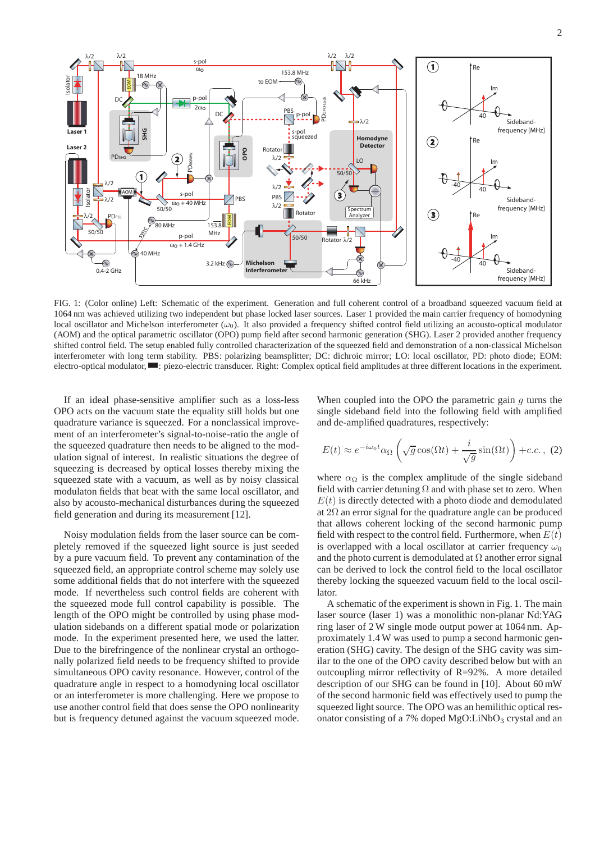

FIG. 1: (Color online) Left: Schematic of the experiment. Generation and full coherent control of a broadband squeezed vacuum field at 1064 nm was achieved utilizing two independent but phase locked laser sources. Laser 1 provided the main carrier frequency of homodyning local oscillator and Michelson interferometer  $(\omega_0)$ . It also provided a frequency shifted control field utilizing an acousto-optical modulator (AOM) and the optical parametric oscillator (OPO) pump field after second harmonic generation (SHG). Laser 2 provided another frequency shifted control field. The setup enabled fully controlled characterization of the squeezed field and demonstration of a non-classical Michelson interferometer with long term stability. PBS: polarizing beamsplitter; DC: dichroic mirror; LO: local oscillator, PD: photo diode; EOM: electro-optical modulator, **...** piezo-electric transducer. Right: Complex optical field amplitudes at three different locations in the experiment.

If an ideal phase-sensitive amplifier such as a loss-less OPO acts on the vacuum state the equality still holds but one quadrature variance is squeezed. For a nonclassical improvement of an interferometer's signal-to-noise-ratio the angle of the squeezed quadrature then needs to be aligned to the modulation signal of interest. In realistic situations the degree of squeezing is decreased by optical losses thereby mixing the squeezed state with a vacuum, as well as by noisy classical modulaton fields that beat with the same local oscillator, and also by acousto-mechanical disturbances during the squeezed field generation and during its measurement [12].

Noisy modulation fields from the laser source can be completely removed if the squeezed light source is just seeded by a pure vacuum field. To prevent any contamination of the squeezed field, an appropriate control scheme may solely use some additional fields that do not interfere with the squeezed mode. If nevertheless such control fields are coherent with the squeezed mode full control capability is possible. The length of the OPO might be controlled by using phase modulation sidebands on a different spatial mode or polarization mode. In the experiment presented here, we used the latter. Due to the birefringence of the nonlinear crystal an orthogonally polarized field needs to be frequency shifted to provide simultaneous OPO cavity resonance. However, control of the quadrature angle in respect to a homodyning local oscillator or an interferometer is more challenging. Here we propose to use another control field that does sense the OPO nonlinearity but is frequency detuned against the vacuum squeezed mode. When coupled into the OPO the parametric gain  $q$  turns the single sideband field into the following field with amplified and de-amplified quadratures, respectively:

$$
E(t) \approx e^{-i\omega_0 t} \alpha_\Omega \left( \sqrt{g} \cos(\Omega t) + \frac{i}{\sqrt{g}} \sin(\Omega t) \right) + c.c. , (2)
$$

where  $\alpha_{\Omega}$  is the complex amplitude of the single sideband field with carrier detuning  $\Omega$  and with phase set to zero. When  $E(t)$  is directly detected with a photo diode and demodulated at  $2\Omega$  an error signal for the quadrature angle can be produced that allows coherent locking of the second harmonic pump field with respect to the control field. Furthermore, when  $E(t)$ is overlapped with a local oscillator at carrier frequency  $\omega_0$ and the photo current is demodulated at  $\Omega$  another error signal can be derived to lock the control field to the local oscillator thereby locking the squeezed vacuum field to the local oscillator.

A schematic of the experiment is shown in Fig. 1. The main laser source (laser 1) was a monolithic non-planar Nd:YAG ring laser of 2 W single mode output power at 1064 nm. Approximately 1.4 W was used to pump a second harmonic generation (SHG) cavity. The design of the SHG cavity was similar to the one of the OPO cavity described below but with an outcoupling mirror reflectivity of R=92%. A more detailed description of our SHG can be found in [10]. About 60 mW of the second harmonic field was effectively used to pump the squeezed light source. The OPO was an hemilithic optical resonator consisting of a 7% doped  $MgO:LiNbO<sub>3</sub>$  crystal and an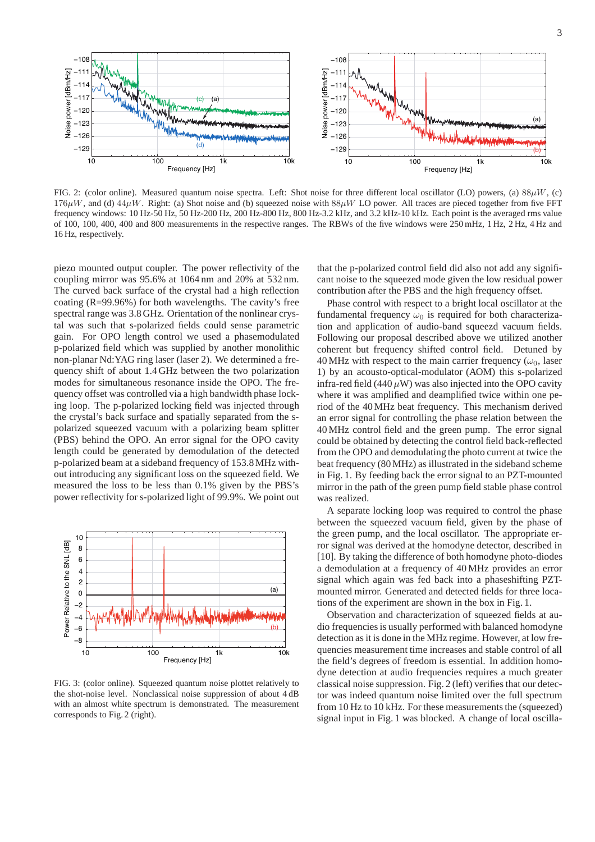

FIG. 2: (color online). Measured quantum noise spectra. Left: Shot noise for three different local oscillator (LO) powers, (a)  $88\mu$ W, (c)  $176\mu$ W, and (d)  $44\mu$ W. Right: (a) Shot noise and (b) squeezed noise with  $88\mu$ W LO power. All traces are pieced together from five FFT frequency windows: 10 Hz-50 Hz, 50 Hz-200 Hz, 200 Hz-800 Hz, 800 Hz-3.2 kHz, and 3.2 kHz-10 kHz. Each point is the averaged rms value of 100, 100, 400, 400 and 800 measurements in the respective ranges. The RBWs of the five windows were 250 mHz, 1 Hz, 2 Hz, 4 Hz and 16 Hz, respectively.

piezo mounted output coupler. The power reflectivity of the coupling mirror was 95.6% at 1064 nm and 20% at 532 nm. The curved back surface of the crystal had a high reflection coating (R=99.96%) for both wavelengths. The cavity's free spectral range was 3.8 GHz. Orientation of the nonlinear crystal was such that s-polarized fields could sense parametric gain. For OPO length control we used a phasemodulated p-polarized field which was supplied by another monolithic non-planar Nd:YAG ring laser (laser 2). We determined a frequency shift of about 1.4 GHz between the two polarization modes for simultaneous resonance inside the OPO. The frequency offset was controlled via a high bandwidth phase locking loop. The p-polarized locking field was injected through the crystal's back surface and spatially separated from the spolarized squeezed vacuum with a polarizing beam splitter (PBS) behind the OPO. An error signal for the OPO cavity length could be generated by demodulation of the detected p-polarized beam at a sideband frequency of 153.8 MHz without introducing any significant loss on the squeezed field. We measured the loss to be less than 0.1% given by the PBS's power reflectivity for s-polarized light of 99.9%. We point out



FIG. 3: (color online). Squeezed quantum noise plottet relatively to the shot-noise level. Nonclassical noise suppression of about 4 dB with an almost white spectrum is demonstrated. The measurement corresponds to Fig. 2 (right).

that the p-polarized control field did also not add any significant noise to the squeezed mode given the low residual power contribution after the PBS and the high frequency offset.

Phase control with respect to a bright local oscillator at the fundamental frequency  $\omega_0$  is required for both characterization and application of audio-band squeezd vacuum fields. Following our proposal described above we utilized another coherent but frequency shifted control field. Detuned by 40 MHz with respect to the main carrier frequency ( $\omega_0$ , laser 1) by an acousto-optical-modulator (AOM) this s-polarized infra-red field (440  $\mu$ W) was also injected into the OPO cavity where it was amplified and deamplified twice within one period of the 40 MHz beat frequency. This mechanism derived an error signal for controlling the phase relation between the 40 MHz control field and the green pump. The error signal could be obtained by detecting the control field back-reflected from the OPO and demodulating the photo current at twice the beat frequency (80 MHz) as illustrated in the sideband scheme in Fig. 1. By feeding back the error signal to an PZT-mounted mirror in the path of the green pump field stable phase control was realized.

A separate locking loop was required to control the phase between the squeezed vacuum field, given by the phase of the green pump, and the local oscillator. The appropriate error signal was derived at the homodyne detector, described in [10]. By taking the difference of both homodyne photo-diodes a demodulation at a frequency of 40 MHz provides an error signal which again was fed back into a phaseshifting PZTmounted mirror. Generated and detected fields for three locations of the experiment are shown in the box in Fig. 1.

Observation and characterization of squeezed fields at audio frequencies is usually performed with balanced homodyne detection as it is done in the MHz regime. However, at low frequencies measurement time increases and stable control of all the field's degrees of freedom is essential. In addition homodyne detection at audio frequencies requires a much greater classical noise suppression. Fig. 2 (left) verifies that our detector was indeed quantum noise limited over the full spectrum from 10 Hz to 10 kHz. For these measurements the (squeezed) signal input in Fig. 1 was blocked. A change of local oscilla-